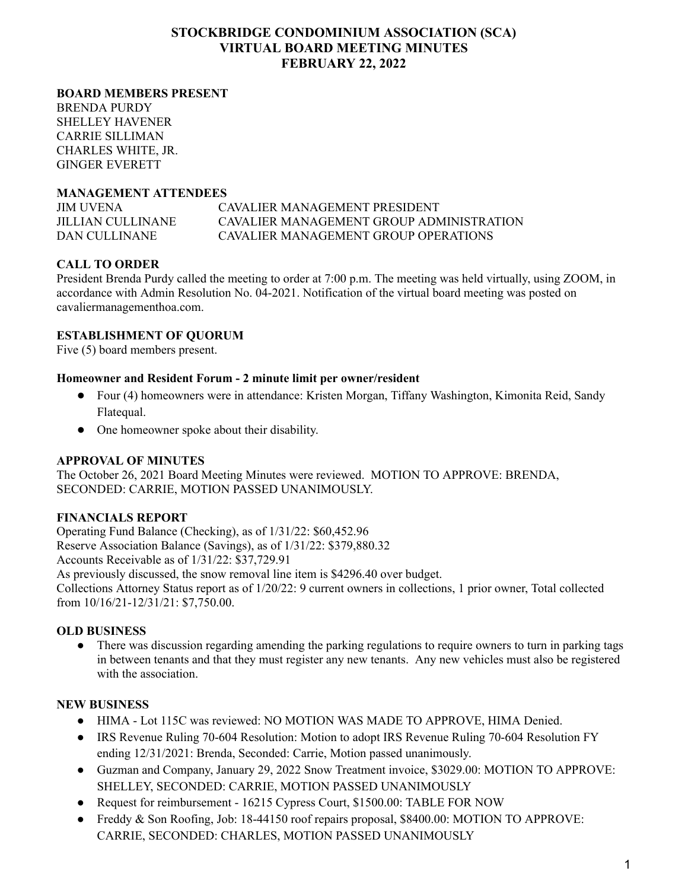# **STOCKBRIDGE CONDOMINIUM ASSOCIATION (SCA) VIRTUAL BOARD MEETING MINUTES FEBRUARY 22, 2022**

#### **BOARD MEMBERS PRESENT**

BRENDA PURDY SHELLEY HAVENER CARRIE SILLIMAN CHARLES WHITE, JR. GINGER EVERETT

## **MANAGEMENT ATTENDEES**

JIM UVENA CAVALIER MANAGEMENT PRESIDENT JILLIAN CULLINANE CAVALIER MANAGEMENT GROUP ADMINISTRATION DAN CULLINANE CAVALIER MANAGEMENT GROUP OPERATIONS

# **CALL TO ORDER**

President Brenda Purdy called the meeting to order at 7:00 p.m. The meeting was held virtually, using ZOOM, in accordance with Admin Resolution No. 04-2021. Notification of the virtual board meeting was posted on cavaliermanagementhoa.com.

## **ESTABLISHMENT OF QUORUM**

Five (5) board members present.

#### **Homeowner and Resident Forum - 2 minute limit per owner/resident**

- Four (4) homeowners were in attendance: Kristen Morgan, Tiffany Washington, Kimonita Reid, Sandy Flatequal.
- One homeowner spoke about their disability.

# **APPROVAL OF MINUTES**

The October 26, 2021 Board Meeting Minutes were reviewed. MOTION TO APPROVE: BRENDA, SECONDED: CARRIE, MOTION PASSED UNANIMOUSLY.

#### **FINANCIALS REPORT**

Operating Fund Balance (Checking), as of 1/31/22: \$60,452.96 Reserve Association Balance (Savings), as of 1/31/22: \$379,880.32 Accounts Receivable as of 1/31/22: \$37,729.91 As previously discussed, the snow removal line item is \$4296.40 over budget. Collections Attorney Status report as of 1/20/22: 9 current owners in collections, 1 prior owner, Total collected from 10/16/21-12/31/21: \$7,750.00.

#### **OLD BUSINESS**

• There was discussion regarding amending the parking regulations to require owners to turn in parking tags in between tenants and that they must register any new tenants. Any new vehicles must also be registered with the association.

# **NEW BUSINESS**

- HIMA Lot 115C was reviewed: NO MOTION WAS MADE TO APPROVE, HIMA Denied.
- IRS Revenue Ruling 70-604 Resolution: Motion to adopt IRS Revenue Ruling 70-604 Resolution FY ending 12/31/2021: Brenda, Seconded: Carrie, Motion passed unanimously.
- Guzman and Company, January 29, 2022 Snow Treatment invoice, \$3029.00: MOTION TO APPROVE: SHELLEY, SECONDED: CARRIE, MOTION PASSED UNANIMOUSLY
- Request for reimbursement 16215 Cypress Court, \$1500.00: TABLE FOR NOW
- Freddy & Son Roofing, Job: 18-44150 roof repairs proposal, \$8400.00: MOTION TO APPROVE: CARRIE, SECONDED: CHARLES, MOTION PASSED UNANIMOUSLY